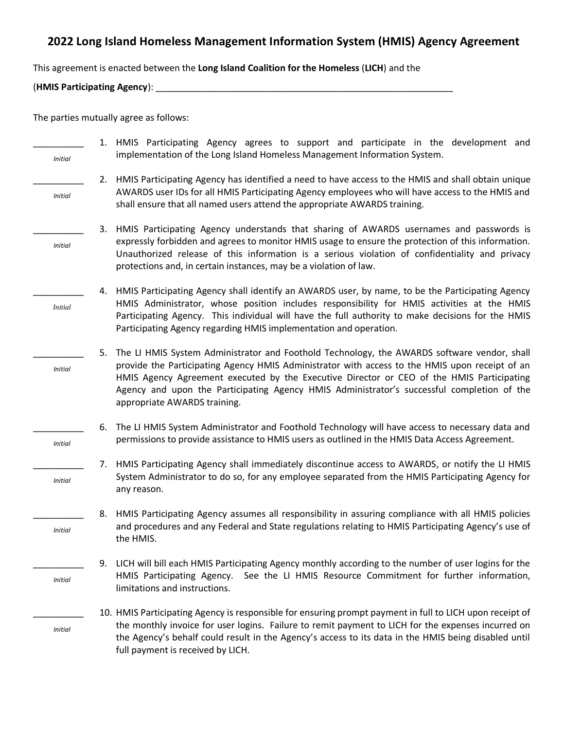## **2022 Long Island Homeless Management Information System (HMIS) Agency Agreement**

This agreement is enacted between the **Long Island Coalition for the Homeless** (**LICH**) and the

(**HMIS Participating Agency**): \_\_\_\_\_\_\_\_\_\_\_\_\_\_\_\_\_\_\_\_\_\_\_\_\_\_\_\_\_\_\_\_\_\_\_\_\_\_\_\_\_\_\_\_\_\_\_\_\_\_\_\_\_\_\_\_\_\_\_

The parties mutually agree as follows:

| <b>Initial</b> | 1. HMIS Participating Agency agrees to support and participate in the development and<br>implementation of the Long Island Homeless Management Information System.                                                                                                                                                                                                                                                             |
|----------------|--------------------------------------------------------------------------------------------------------------------------------------------------------------------------------------------------------------------------------------------------------------------------------------------------------------------------------------------------------------------------------------------------------------------------------|
| <b>Initial</b> | HMIS Participating Agency has identified a need to have access to the HMIS and shall obtain unique<br>2.<br>AWARDS user IDs for all HMIS Participating Agency employees who will have access to the HMIS and<br>shall ensure that all named users attend the appropriate AWARDS training.                                                                                                                                      |
| <b>Initial</b> | HMIS Participating Agency understands that sharing of AWARDS usernames and passwords is<br>3.<br>expressly forbidden and agrees to monitor HMIS usage to ensure the protection of this information.<br>Unauthorized release of this information is a serious violation of confidentiality and privacy<br>protections and, in certain instances, may be a violation of law.                                                     |
| <i>Initial</i> | HMIS Participating Agency shall identify an AWARDS user, by name, to be the Participating Agency<br>4.<br>HMIS Administrator, whose position includes responsibility for HMIS activities at the HMIS<br>Participating Agency. This individual will have the full authority to make decisions for the HMIS<br>Participating Agency regarding HMIS implementation and operation.                                                 |
| <b>Initial</b> | The LI HMIS System Administrator and Foothold Technology, the AWARDS software vendor, shall<br>5.<br>provide the Participating Agency HMIS Administrator with access to the HMIS upon receipt of an<br>HMIS Agency Agreement executed by the Executive Director or CEO of the HMIS Participating<br>Agency and upon the Participating Agency HMIS Administrator's successful completion of the<br>appropriate AWARDS training. |
| <b>Initial</b> | The LI HMIS System Administrator and Foothold Technology will have access to necessary data and<br>6.<br>permissions to provide assistance to HMIS users as outlined in the HMIS Data Access Agreement.                                                                                                                                                                                                                        |
| <b>Initial</b> | HMIS Participating Agency shall immediately discontinue access to AWARDS, or notify the LI HMIS<br>7.<br>System Administrator to do so, for any employee separated from the HMIS Participating Agency for<br>any reason.                                                                                                                                                                                                       |
| <b>Initial</b> | 8. HMIS Participating Agency assumes all responsibility in assuring compliance with all HMIS policies<br>and procedures and any Federal and State regulations relating to HMIS Participating Agency's use of<br>the HMIS.                                                                                                                                                                                                      |
| <b>Initial</b> | LICH will bill each HMIS Participating Agency monthly according to the number of user logins for the<br>9.<br>See the LI HMIS Resource Commitment for further information,<br>HMIS Participating Agency.<br>limitations and instructions.                                                                                                                                                                                      |
| <b>Initial</b> | 10. HMIS Participating Agency is responsible for ensuring prompt payment in full to LICH upon receipt of<br>the monthly invoice for user logins. Failure to remit payment to LICH for the expenses incurred on<br>the Agency's behalf could result in the Agency's access to its data in the HMIS being disabled until<br>full payment is received by LICH.                                                                    |